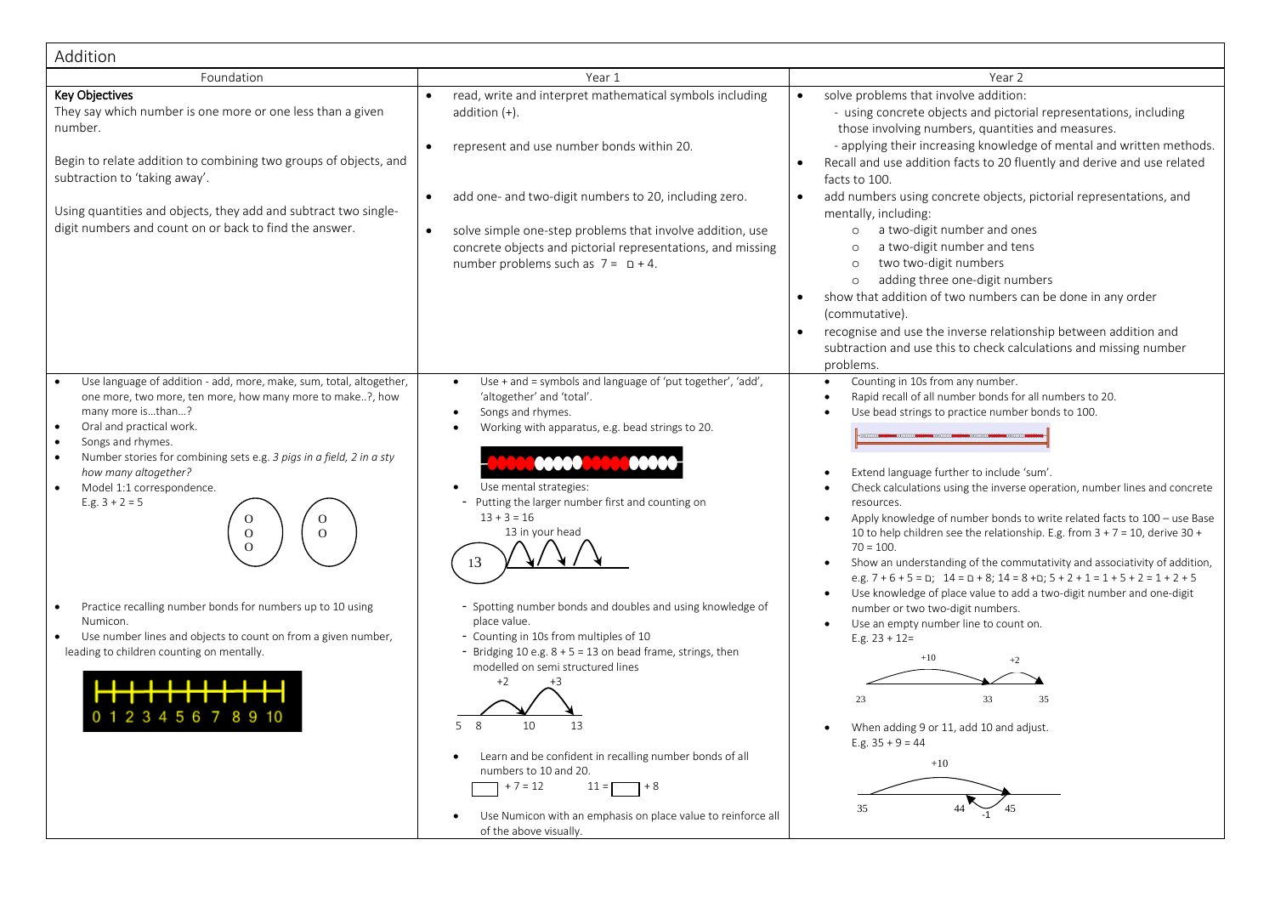| Addition                                                                                                                                                                                                                                                                                                                                                                                                                                                                                                                                                                                                                                     |                                                                                                                                                                                                                                                                                                                                                                                                                                                                                                     |                                                                                                                                                                                                                                                                                                                                                                                                                                                                                                                                                                                                                                                                                                                                                                                                                                                |
|----------------------------------------------------------------------------------------------------------------------------------------------------------------------------------------------------------------------------------------------------------------------------------------------------------------------------------------------------------------------------------------------------------------------------------------------------------------------------------------------------------------------------------------------------------------------------------------------------------------------------------------------|-----------------------------------------------------------------------------------------------------------------------------------------------------------------------------------------------------------------------------------------------------------------------------------------------------------------------------------------------------------------------------------------------------------------------------------------------------------------------------------------------------|------------------------------------------------------------------------------------------------------------------------------------------------------------------------------------------------------------------------------------------------------------------------------------------------------------------------------------------------------------------------------------------------------------------------------------------------------------------------------------------------------------------------------------------------------------------------------------------------------------------------------------------------------------------------------------------------------------------------------------------------------------------------------------------------------------------------------------------------|
| Foundation                                                                                                                                                                                                                                                                                                                                                                                                                                                                                                                                                                                                                                   | Year 1                                                                                                                                                                                                                                                                                                                                                                                                                                                                                              | Year 2                                                                                                                                                                                                                                                                                                                                                                                                                                                                                                                                                                                                                                                                                                                                                                                                                                         |
| <b>Key Objectives</b><br>They say which number is one more or one less than a given<br>number.<br>Begin to relate addition to combining two groups of objects, and<br>subtraction to 'taking away'.                                                                                                                                                                                                                                                                                                                                                                                                                                          | read, write and interpret mathematical symbols including<br>$\bullet$<br>addition $(+)$ .<br>represent and use number bonds within 20.<br>$\bullet$                                                                                                                                                                                                                                                                                                                                                 | solve problems that involve addition:<br>$\bullet$<br>- using concrete objects and pictorial representations, including<br>those involving numbers, quantities and measures.<br>- applying their increasing knowledge of mental and written methods.<br>Recall and use addition facts to 20 fluently and derive and use related<br>facts to 100.                                                                                                                                                                                                                                                                                                                                                                                                                                                                                               |
| Using quantities and objects, they add and subtract two single-<br>digit numbers and count on or back to find the answer.                                                                                                                                                                                                                                                                                                                                                                                                                                                                                                                    | add one- and two-digit numbers to 20, including zero.<br>$\bullet$<br>solve simple one-step problems that involve addition, use<br>$\bullet$<br>concrete objects and pictorial representations, and missing<br>number problems such as $7 = D + 4$ .                                                                                                                                                                                                                                                | add numbers using concrete objects, pictorial representations, and<br>$\bullet$<br>mentally, including:<br>a two-digit number and ones<br>$\circ$<br>a two-digit number and tens<br>$\circ$<br>two two-digit numbers<br>$\circ$<br>adding three one-digit numbers<br>$\circ$<br>show that addition of two numbers can be done in any order<br>(commutative).<br>recognise and use the inverse relationship between addition and<br>subtraction and use this to check calculations and missing number<br>problems.                                                                                                                                                                                                                                                                                                                              |
| Use language of addition - add, more, make, sum, total, altogether,<br>one more, two more, ten more, how many more to make?, how<br>many more isthan?<br>Oral and practical work.<br>Songs and rhymes.<br>$\bullet$<br>Number stories for combining sets e.g. 3 pigs in a field, 2 in a sty<br>$\bullet$<br>how many altogether?<br>Model 1:1 correspondence.<br>E.g. $3 + 2 = 5$<br>Ω<br>O<br>$\mathbf{O}$<br>$\mathbf{O}$<br>$\Omega$<br>Practice recalling number bonds for numbers up to 10 using<br>Numicon.<br>Use number lines and objects to count on from a given number,<br>$\bullet$<br>leading to children counting on mentally. | Use + and = symbols and language of 'put together', 'add',<br>$\bullet$<br>'altogether' and 'total'.<br>Songs and rhymes.<br>$\bullet$<br>Working with apparatus, e.g. bead strings to 20.<br>Use mental strategies:<br>- Putting the larger number first and counting on<br>$13 + 3 = 16$<br>13 in your head<br>- Spotting number bonds and doubles and using knowledge of<br>place value.<br>- Counting in 10s from multiples of 10<br>- Bridging 10 e.g. 8 + 5 = 13 on bead frame, strings, then | Counting in 10s from any number.<br>Rapid recall of all number bonds for all numbers to 20.<br>$\bullet$<br>Use bead strings to practice number bonds to 100.<br>Extend language further to include 'sum'.<br>Check calculations using the inverse operation, number lines and concrete<br>resources.<br>Apply knowledge of number bonds to write related facts to 100 - use Base<br>10 to help children see the relationship. E.g. from $3 + 7 = 10$ , derive $30 +$<br>$70 = 100.$<br>Show an understanding of the commutativity and associativity of addition,<br>e.g. $7 + 6 + 5 = 0$ ; $14 = 0 + 8$ ; $14 = 8 + 0$ ; $5 + 2 + 1 = 1 + 5 + 2 = 1 + 2 + 5$<br>Use knowledge of place value to add a two-digit number and one-digit<br>number or two two-digit numbers.<br>Use an empty number line to count on.<br>E.g. $23 + 12=$<br>$+10$ |
| 23456789                                                                                                                                                                                                                                                                                                                                                                                                                                                                                                                                                                                                                                     | modelled on semi structured lines<br>+2<br>58<br>10<br>13<br>Learn and be confident in recalling number bonds of all<br>numbers to 10 and 20.<br>$+7 = 12$<br>$7 + 8$<br>$11 = F$<br>Use Numicon with an emphasis on place value to reinforce all<br>of the above visually.                                                                                                                                                                                                                         | $+2$<br>23<br>33<br>35<br>When adding 9 or 11, add 10 and adjust.<br>E.g. $35 + 9 = 44$<br>$+10$<br>35                                                                                                                                                                                                                                                                                                                                                                                                                                                                                                                                                                                                                                                                                                                                         |